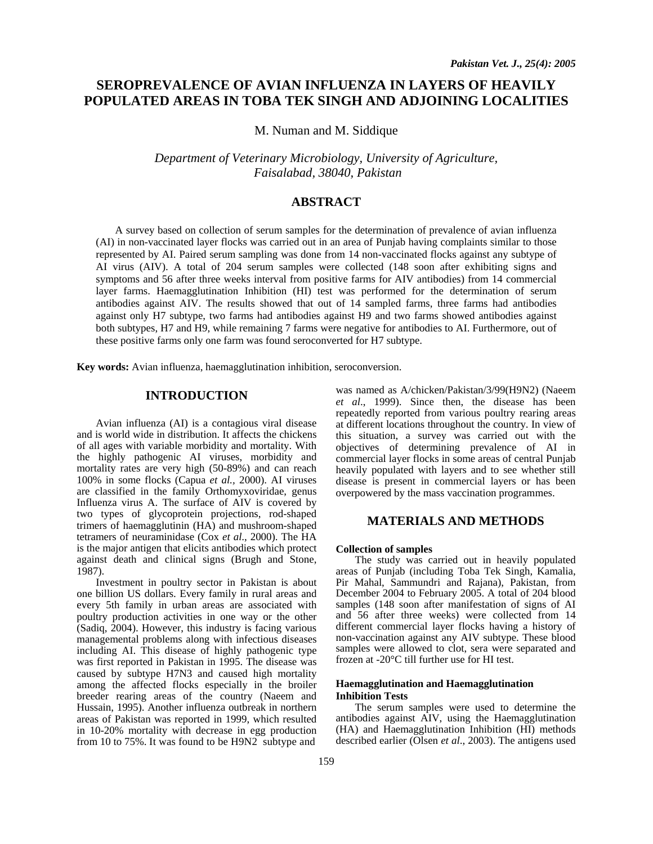# **SEROPREVALENCE OF AVIAN INFLUENZA IN LAYERS OF HEAVILY POPULATED AREAS IN TOBA TEK SINGH AND ADJOINING LOCALITIES**

M. Numan and M. Siddique

*Department of Veterinary Microbiology, University of Agriculture, Faisalabad, 38040, Pakistan*

## **ABSTRACT**

A survey based on collection of serum samples for the determination of prevalence of avian influenza (AI) in non-vaccinated layer flocks was carried out in an area of Punjab having complaints similar to those represented by AI. Paired serum sampling was done from 14 non-vaccinated flocks against any subtype of AI virus (AIV). A total of 204 serum samples were collected (148 soon after exhibiting signs and symptoms and 56 after three weeks interval from positive farms for AIV antibodies) from 14 commercial layer farms. Haemagglutination Inhibition (HI) test was performed for the determination of serum antibodies against AIV. The results showed that out of 14 sampled farms, three farms had antibodies against only H7 subtype, two farms had antibodies against H9 and two farms showed antibodies against both subtypes, H7 and H9, while remaining 7 farms were negative for antibodies to AI. Furthermore, out of these positive farms only one farm was found seroconverted for H7 subtype.

**Key words:** Avian influenza, haemagglutination inhibition, seroconversion.

## **INTRODUCTION**

Avian influenza (AI) is a contagious viral disease and is world wide in distribution. It affects the chickens of all ages with variable morbidity and mortality. With the highly pathogenic AI viruses, morbidity and mortality rates are very high (50-89%) and can reach 100% in some flocks (Capua *et al.,* 2000). AI viruses are classified in the family Orthomyxoviridae, genus Influenza virus A. The surface of AIV is covered by two types of glycoprotein projections, rod-shaped trimers of haemagglutinin (HA) and mushroom-shaped tetramers of neuraminidase (Cox *et al*., 2000). The HA is the major antigen that elicits antibodies which protect against death and clinical signs (Brugh and Stone, 1987).

Investment in poultry sector in Pakistan is about one billion US dollars. Every family in rural areas and every 5th family in urban areas are associated with poultry production activities in one way or the other (Sadiq, 2004). However, this industry is facing various managemental problems along with infectious diseases including AI. This disease of highly pathogenic type was first reported in Pakistan in 1995. The disease was caused by subtype H7N3 and caused high mortality among the affected flocks especially in the broiler breeder rearing areas of the country (Naeem and Hussain, 1995). Another influenza outbreak in northern areas of Pakistan was reported in 1999, which resulted in 10-20% mortality with decrease in egg production from 10 to 75%. It was found to be H9N2 subtype and

was named as A/chicken/Pakistan/3/99(H9N2) (Naeem *et al*., 1999). Since then, the disease has been repeatedly reported from various poultry rearing areas at different locations throughout the country. In view of this situation, a survey was carried out with the objectives of determining prevalence of AI in commercial layer flocks in some areas of central Punjab heavily populated with layers and to see whether still disease is present in commercial layers or has been overpowered by the mass vaccination programmes.

## **MATERIALS AND METHODS**

#### **Collection of samples**

The study was carried out in heavily populated areas of Punjab (including Toba Tek Singh, Kamalia, Pir Mahal, Sammundri and Rajana), Pakistan, from December 2004 to February 2005. A total of 204 blood samples (148 soon after manifestation of signs of AI and 56 after three weeks) were collected from 14 different commercial layer flocks having a history of non-vaccination against any AIV subtype. These blood samples were allowed to clot, sera were separated and frozen at -20°C till further use for HI test.

#### **Haemagglutination and Haemagglutination Inhibition Tests**

The serum samples were used to determine the antibodies against AIV, using the Haemagglutination (HA) and Haemagglutination Inhibition (HI) methods described earlier (Olsen *et al*., 2003). The antigens used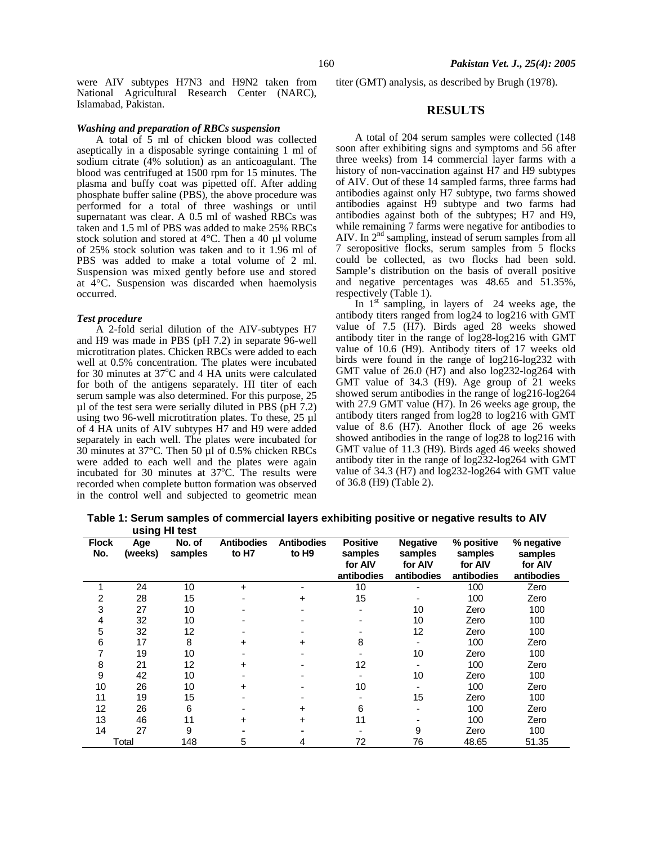were AIV subtypes H7N3 and H9N2 taken from National Agricultural Research Center (NARC), Islamabad, Pakistan.

#### *Washing and preparation of RBCs suspension*

A total of 5 ml of chicken blood was collected aseptically in a disposable syringe containing 1 ml of sodium citrate (4% solution) as an anticoagulant. The blood was centrifuged at 1500 rpm for 15 minutes. The plasma and buffy coat was pipetted off. After adding phosphate buffer saline (PBS), the above procedure was performed for a total of three washings or until supernatant was clear. A 0.5 ml of washed RBCs was taken and 1.5 ml of PBS was added to make 25% RBCs stock solution and stored at 4°C. Then a 40 µl volume of 25% stock solution was taken and to it 1.96 ml of PBS was added to make a total volume of 2 ml. Suspension was mixed gently before use and stored at 4°C. Suspension was discarded when haemolysis occurred.

#### *Test procedure*

A 2-fold serial dilution of the AIV-subtypes H7 and H9 was made in PBS (pH 7.2) in separate 96-well microtitration plates. Chicken RBCs were added to each well at 0.5% concentration. The plates were incubated for 30 minutes at  $37^{\circ}$ C and 4 HA units were calculated for both of the antigens separately. HI titer of each serum sample was also determined. For this purpose, 25 µl of the test sera were serially diluted in PBS (pH 7.2) using two 96-well microtitration plates. To these, 25 µl of 4 HA units of AIV subtypes H7 and H9 were added separately in each well. The plates were incubated for 30 minutes at 37°C. Then 50 µl of 0.5% chicken RBCs were added to each well and the plates were again incubated for 30 minutes at  $37^{\circ}$ C. The results were recorded when complete button formation was observed in the control well and subjected to geometric mean

titer (GMT) analysis, as described by Brugh (1978).

#### **RESULTS**

A total of 204 serum samples were collected (148 soon after exhibiting signs and symptoms and 56 after three weeks) from 14 commercial layer farms with a history of non-vaccination against H7 and H9 subtypes of AIV. Out of these 14 sampled farms, three farms had antibodies against only H7 subtype, two farms showed antibodies against H9 subtype and two farms had antibodies against both of the subtypes; H7 and H9, while remaining 7 farms were negative for antibodies to AIV. In  $2<sup>nd</sup>$  sampling, instead of serum samples from all 7 seropositive flocks, serum samples from 5 flocks could be collected, as two flocks had been sold. Sample's distribution on the basis of overall positive and negative percentages was 48.65 and 51.35%, respectively (Table 1).

In  $1<sup>st</sup>$  sampling, in layers of 24 weeks age, the antibody titers ranged from log24 to log216 with GMT value of 7.5 (H7). Birds aged 28 weeks showed antibody titer in the range of log28-log216 with GMT value of 10.6 (H9). Antibody titers of 17 weeks old birds were found in the range of log216-log232 with GMT value of 26.0 (H7) and also log232-log264 with GMT value of 34.3 (H9). Age group of 21 weeks showed serum antibodies in the range of log216-log264 with 27.9 GMT value (H7). In 26 weeks age group, the antibody titers ranged from log28 to log216 with GMT value of 8.6 (H7). Another flock of age 26 weeks showed antibodies in the range of log28 to log216 with GMT value of 11.3 (H9). Birds aged 46 weeks showed antibody titer in the range of log232-log264 with GMT value of 34.3 (H7) and log232-log264 with GMT value of 36.8 (H9) (Table 2).

 **Table 1: Serum samples of commercial layers exhibiting positive or negative results to AIV using HI test**

| <b>Flock</b><br>No. | ີ້ີີ່<br>Age<br>(weeks) | No. of<br>samples | <b>Antibodies</b><br>to H7 | <b>Antibodies</b><br>to H9 | <b>Positive</b><br>samples | <b>Negative</b><br>samples | % positive<br>samples | % negative<br>samples |  |
|---------------------|-------------------------|-------------------|----------------------------|----------------------------|----------------------------|----------------------------|-----------------------|-----------------------|--|
|                     |                         |                   |                            |                            | for AIV                    | for AIV                    | for AIV               | for AIV               |  |
|                     |                         |                   |                            |                            | antibodies                 | antibodies                 | antibodies            | antibodies            |  |
|                     | 24                      | 10                | $\div$                     |                            | 10                         |                            | 100                   | Zero                  |  |
| 2                   | 28                      | 15                |                            | +                          | 15                         |                            | 100                   | Zero                  |  |
| 3                   | 27                      | 10                |                            |                            |                            | 10                         | Zero                  | 100                   |  |
| 4                   | 32                      | 10                |                            |                            |                            | 10                         | Zero                  | 100                   |  |
| 5                   | 32                      | 12                |                            |                            |                            | 12                         | Zero                  | 100                   |  |
| 6                   | 17                      | 8                 | +                          | +                          | 8                          |                            | 100                   | Zero                  |  |
| 7                   | 19                      | 10                |                            |                            |                            | 10                         | Zero                  | 100                   |  |
| 8                   | 21                      | 12                | +                          |                            | 12                         |                            | 100                   | Zero                  |  |
| 9                   | 42                      | 10                |                            |                            |                            | 10                         | Zero                  | 100                   |  |
| 10                  | 26                      | 10                | +                          |                            | 10                         |                            | 100                   | Zero                  |  |
| 11                  | 19                      | 15                |                            |                            |                            | 15                         | Zero                  | 100                   |  |
| 12                  | 26                      | 6                 |                            |                            | 6                          |                            | 100                   | Zero                  |  |
| 13                  | 46                      | 11                | $\div$                     | +                          | 11                         |                            | 100                   | Zero                  |  |
| 14                  | 27                      | 9                 |                            |                            |                            | 9                          | Zero                  | 100                   |  |
|                     | Total                   | 148               | 5                          |                            | 72                         | 76                         | 48.65                 | 51.35                 |  |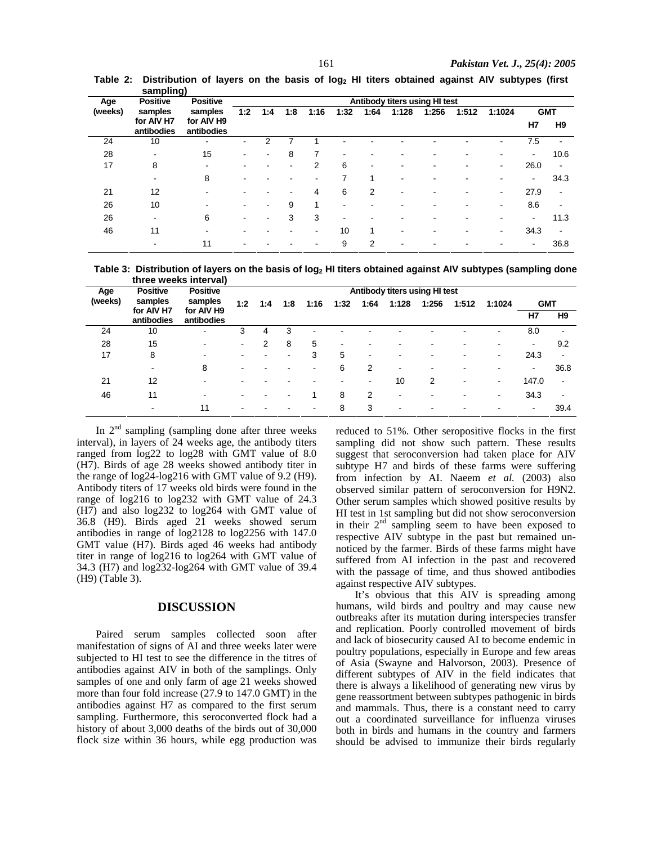|         | sampiing)                  |                            |                               |     |     |                |                          |      |                          |       |       |                          |                |                          |
|---------|----------------------------|----------------------------|-------------------------------|-----|-----|----------------|--------------------------|------|--------------------------|-------|-------|--------------------------|----------------|--------------------------|
| Age     | <b>Positive</b><br>samples | <b>Positive</b><br>samples | Antibody titers using HI test |     |     |                |                          |      |                          |       |       |                          |                |                          |
| (weeks) |                            |                            | 1:2                           | 1:4 | 1:8 | 1:16           | 1:32                     | 1:64 | 1:128                    | 1:256 | 1:512 | 1:1024                   | <b>GMT</b>     |                          |
|         | for AIV H7<br>antibodies   | for AIV H9<br>antibodies   |                               |     |     |                |                          |      |                          |       |       |                          | H7             | H <sub>9</sub>           |
| 24      | 10                         | $\blacksquare$             |                               |     |     |                |                          |      |                          |       |       |                          | 7.5            |                          |
| 28      | $\overline{\phantom{a}}$   | 15                         |                               |     | 8   |                |                          |      |                          |       |       |                          |                | 10.6                     |
| 17      | 8                          | $\overline{\phantom{a}}$   |                               |     | ٠   | 2              | 6                        | ۰    | ٠                        |       | -     | $\,$                     | 26.0           | -                        |
|         | $\overline{\phantom{a}}$   | 8                          |                               |     | ۰   | ۰              | ⇁                        | 1    | ۰                        | -     |       |                          | $\blacksquare$ | 34.3                     |
| 21      | 12                         | ۰                          |                               |     | ۰   | 4              | 6                        | 2    | ۰                        | ۰     | ۰     | $\overline{\phantom{a}}$ | 27.9           | -                        |
| 26      | 10                         | -                          |                               |     | 9   |                | $\overline{\phantom{0}}$ |      |                          |       |       | $\,$                     | 8.6            |                          |
| 26      | $\overline{\phantom{a}}$   | 6                          | -                             |     | 3   | 3              | $\overline{\phantom{0}}$ |      | ۰                        | ۰     | ۰     |                          | $\blacksquare$ | 11.3                     |
| 46      | 11                         | -                          |                               |     | -   | $\blacksquare$ | 10                       | 1    | $\overline{\phantom{a}}$ |       |       |                          | 34.3           | $\overline{\phantom{a}}$ |
|         | $\blacksquare$             | 11                         |                               |     |     |                | 9                        | 2    | ۰                        | ٠     | ۰     |                          | $\blacksquare$ | 36.8                     |

**Table 2: Distribution of layers on the basis of log2 HI titers obtained against AIV subtypes (first sampling)** 

**Table 3: Distribution of layers on the basis of log2 HI titers obtained against AIV subtypes (sampling done three weeks interval)** 

| Age     | <b>Positive</b>          | <b>Positive</b>          | Antibody titers using HI test |                          |     |      |      |                |       |       |       |                |                          |                              |
|---------|--------------------------|--------------------------|-------------------------------|--------------------------|-----|------|------|----------------|-------|-------|-------|----------------|--------------------------|------------------------------|
| (weeks) | samples                  | samples                  | 1:2                           | 1:4                      | 1:8 | 1:16 | 1:32 | 1:64           | 1:128 | 1:256 | 1:512 | 1:1024         | <b>GMT</b>               |                              |
|         | for AIV H7<br>antibodies | for AIV H9<br>antibodies |                               |                          |     |      |      |                |       |       |       |                | H7                       | H <sub>9</sub>               |
| 24      | 10                       | ۰                        | 3                             | 4                        | 3   |      |      |                |       |       |       |                | 8.0                      | $\qquad \qquad \blacksquare$ |
| 28      | 15                       | ۰.                       | ۰                             | 2                        | 8   | 5    |      |                |       |       |       |                | $\overline{\phantom{a}}$ | 9.2                          |
| 17      | 8                        | $\,$                     |                               | $\overline{\phantom{0}}$ | -   | 3    | 5    | $\blacksquare$ |       |       |       | $\blacksquare$ | 24.3                     | $\overline{\phantom{a}}$     |
|         | $\overline{\phantom{a}}$ | 8                        |                               |                          |     |      | 6    | 2              | -     |       |       |                | -                        | 36.8                         |
| 21      | 12                       | -                        |                               |                          |     |      |      | $\blacksquare$ | 10    | 2     |       |                | 147.0                    | $\overline{\phantom{a}}$     |
| 46      | 11                       | $\blacksquare$           |                               |                          |     |      | 8    | 2              | -     |       |       | $\blacksquare$ | 34.3                     | $\overline{\phantom{a}}$     |
|         | $\overline{\phantom{a}}$ | 11                       |                               |                          |     |      | 8    | 3              | -     |       |       |                | ۰                        | 39.4                         |

In  $2<sup>nd</sup>$  sampling (sampling done after three weeks interval), in layers of 24 weeks age, the antibody titers ranged from log22 to log28 with GMT value of 8.0 (H7). Birds of age 28 weeks showed antibody titer in the range of log24-log216 with GMT value of 9.2 (H9). Antibody titers of 17 weeks old birds were found in the range of log216 to log232 with GMT value of 24.3 (H7) and also log232 to log264 with GMT value of 36.8 (H9). Birds aged 21 weeks showed serum antibodies in range of log2128 to log2256 with 147.0 GMT value (H7). Birds aged 46 weeks had antibody titer in range of log216 to log264 with GMT value of 34.3 (H7) and log232-log264 with GMT value of 39.4 (H9) (Table 3).

## **DISCUSSION**

Paired serum samples collected soon after manifestation of signs of AI and three weeks later were subjected to HI test to see the difference in the titres of antibodies against AIV in both of the samplings. Only samples of one and only farm of age 21 weeks showed more than four fold increase (27.9 to 147.0 GMT) in the antibodies against H7 as compared to the first serum sampling. Furthermore, this seroconverted flock had a history of about 3,000 deaths of the birds out of 30,000 flock size within 36 hours, while egg production was reduced to 51%. Other seropositive flocks in the first sampling did not show such pattern. These results suggest that seroconversion had taken place for AIV subtype H7 and birds of these farms were suffering from infection by AI. Naeem *et al.* (2003) also observed similar pattern of seroconversion for H9N2. Other serum samples which showed positive results by HI test in 1st sampling but did not show seroconversion in their  $2<sup>nd</sup>$  sampling seem to have been exposed to respective AIV subtype in the past but remained unnoticed by the farmer. Birds of these farms might have suffered from AI infection in the past and recovered with the passage of time, and thus showed antibodies against respective AIV subtypes.

It's obvious that this AIV is spreading among humans, wild birds and poultry and may cause new outbreaks after its mutation during interspecies transfer and replication. Poorly controlled movement of birds and lack of biosecurity caused AI to become endemic in poultry populations, especially in Europe and few areas of Asia (Swayne and Halvorson, 2003). Presence of different subtypes of AIV in the field indicates that there is always a likelihood of generating new virus by gene reassortment between subtypes pathogenic in birds and mammals. Thus, there is a constant need to carry out a coordinated surveillance for influenza viruses both in birds and humans in the country and farmers should be advised to immunize their birds regularly